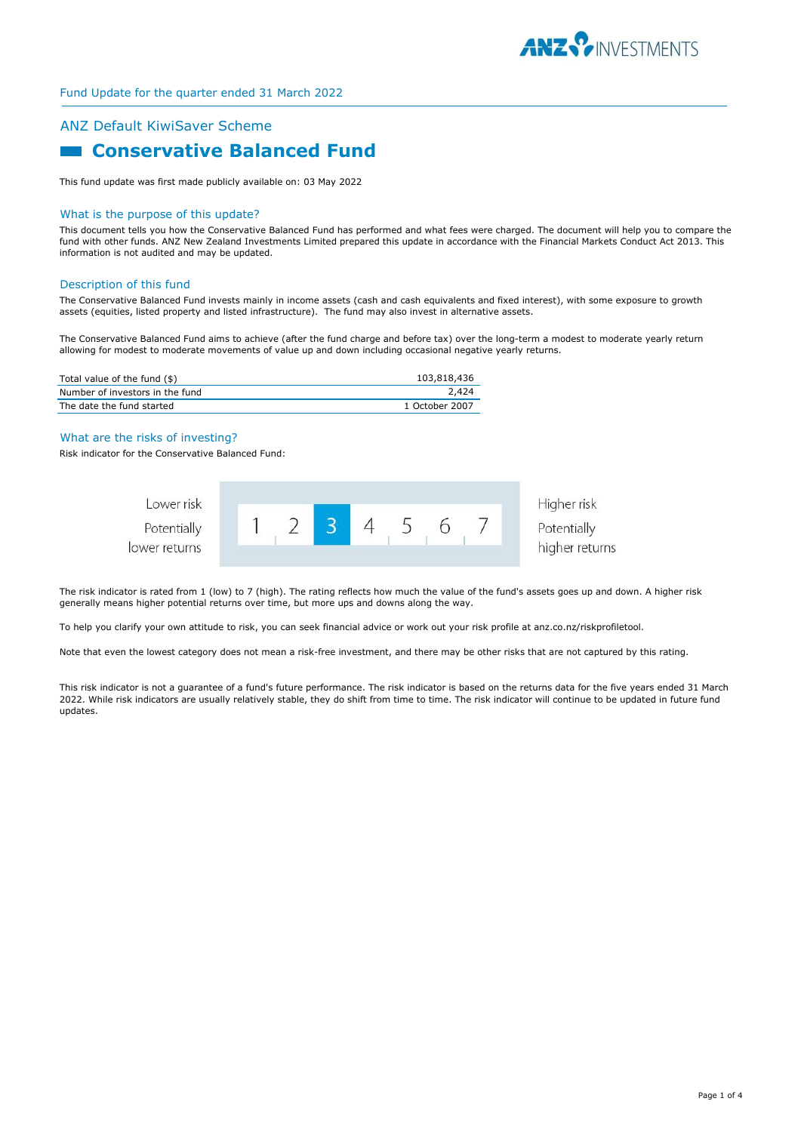

## ANZ Default KiwiSaver Scheme

# **E Conservative Balanced Fund**

This fund update was first made publicly available on: 03 May 2022

#### What is the purpose of this update?

This document tells you how the Conservative Balanced Fund has performed and what fees were charged. The document will help you to compare the fund with other funds. ANZ New Zealand Investments Limited prepared this update in accordance with the Financial Markets Conduct Act 2013. This information is not audited and may be updated.

#### Description of this fund

The Conservative Balanced Fund invests mainly in income assets (cash and cash equivalents and fixed interest), with some exposure to growth assets (equities, listed property and listed infrastructure). The fund may also invest in alternative assets.

The Conservative Balanced Fund aims to achieve (after the fund charge and before tax) over the long-term a modest to moderate yearly return allowing for modest to moderate movements of value up and down including occasional negative yearly returns.

| Total value of the fund (\$)    | 103,818,436    |
|---------------------------------|----------------|
| Number of investors in the fund | 2,424          |
| The date the fund started       | 1 October 2007 |

#### What are the risks of investing?

Risk indicator for the Conservative Balanced Fund:



The risk indicator is rated from 1 (low) to 7 (high). The rating reflects how much the value of the fund's assets goes up and down. A higher risk generally means higher potential returns over time, but more ups and downs along the way.

To help you clarify your own attitude to risk, you can seek financial advice or work out your risk profile at anz.co.nz/riskprofiletool.

Note that even the lowest category does not mean a risk-free investment, and there may be other risks that are not captured by this rating.

This risk indicator is not a guarantee of a fund's future performance. The risk indicator is based on the returns data for the five years ended 31 March 2022. While risk indicators are usually relatively stable, they do shift from time to time. The risk indicator will continue to be updated in future fund updates.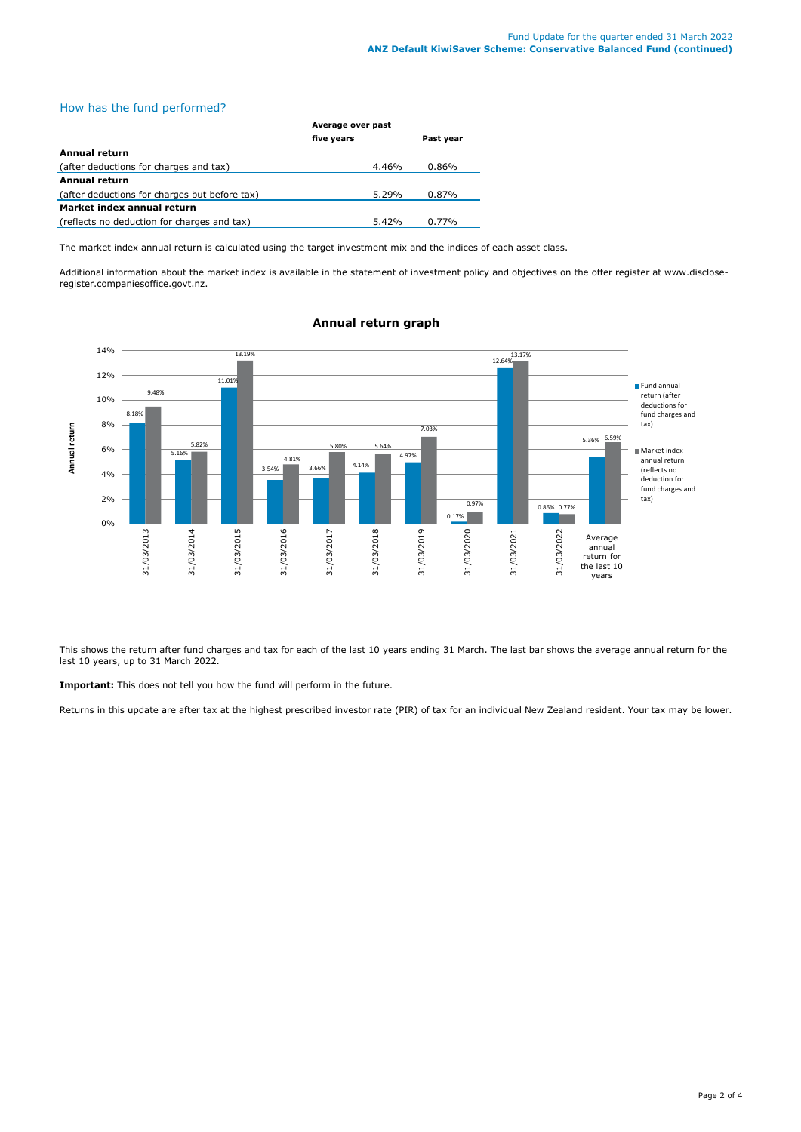## How has the fund performed?

|                                               | Average over past |           |  |
|-----------------------------------------------|-------------------|-----------|--|
|                                               | five years        | Past year |  |
| Annual return                                 |                   |           |  |
| (after deductions for charges and tax)        | 4.46%             | 0.86%     |  |
| <b>Annual return</b>                          |                   |           |  |
| (after deductions for charges but before tax) | 5.29%             | $0.87\%$  |  |
| Market index annual return                    |                   |           |  |
| (reflects no deduction for charges and tax)   | 5.42%             | 0.77%     |  |

The market index annual return is calculated using the target investment mix and the indices of each asset class.

Additional information about the market index is available in the statement of investment policy and objectives on the offer register at www.discloseregister.companiesoffice.govt.nz.



## **Annual return graph**

This shows the return after fund charges and tax for each of the last 10 years ending 31 March. The last bar shows the average annual return for the last 10 years, up to 31 March 2022.

**Important:** This does not tell you how the fund will perform in the future.

Returns in this update are after tax at the highest prescribed investor rate (PIR) of tax for an individual New Zealand resident. Your tax may be lower.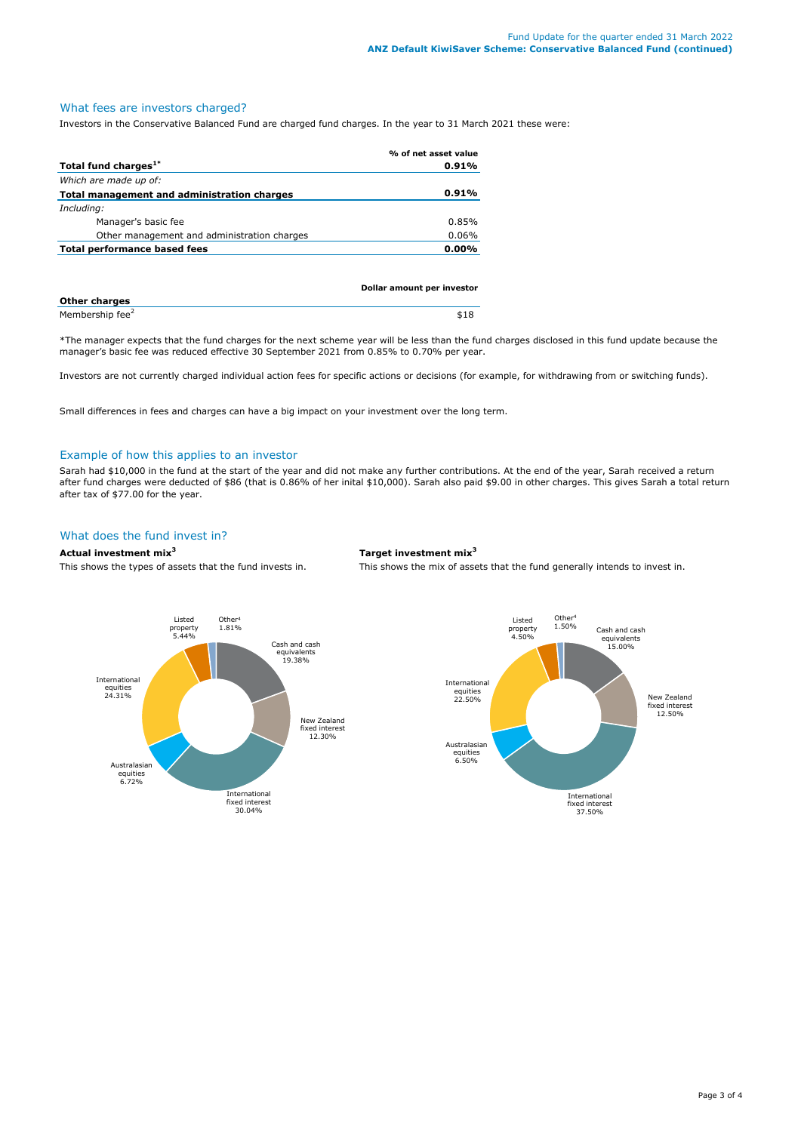## What fees are investors charged?

Investors in the Conservative Balanced Fund are charged fund charges. In the year to 31 March 2021 these were:

|                                             | % of net asset value |
|---------------------------------------------|----------------------|
| Total fund charges <sup>1*</sup>            | 0.91%                |
| Which are made up of:                       |                      |
| Total management and administration charges | 0.91%                |
| Including:                                  |                      |
| Manager's basic fee                         | 0.85%                |
| Other management and administration charges | 0.06%                |
| Total performance based fees                | $0.00\%$             |
|                                             |                      |

|                             | Dollar amount per investor |  |
|-----------------------------|----------------------------|--|
| <b>Other charges</b>        |                            |  |
| Membership fee <sup>2</sup> | \$18                       |  |

\*The manager expects that the fund charges for the next scheme year will be less than the fund charges disclosed in this fund update because the manager's basic fee was reduced effective 30 September 2021 from 0.85% to 0.70% per year.

Investors are not currently charged individual action fees for specific actions or decisions (for example, for withdrawing from or switching funds).

Small differences in fees and charges can have a big impact on your investment over the long term.

#### Example of how this applies to an investor

Sarah had \$10,000 in the fund at the start of the year and did not make any further contributions. At the end of the year, Sarah received a return after fund charges were deducted of \$86 (that is 0.86% of her inital \$10,000). Sarah also paid \$9.00 in other charges. This gives Sarah a total return after tax of \$77.00 for the year.

## What does the fund invest in?

#### **Actual investment mix<sup>3</sup> Target investment mix<sup>3</sup>**

This shows the types of assets that the fund invests in. This shows the mix of assets that the fund generally intends to invest in.